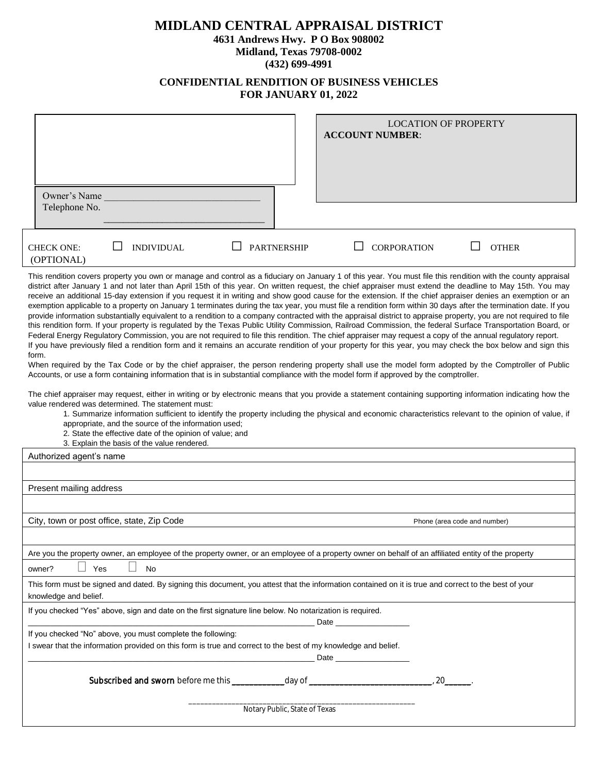## **MIDLAND CENTRAL APPRAISAL DISTRICT**

**4631 Andrews Hwy. P O Box 908002**

**Midland, Texas 79708-0002 (432) 699-4991**

## **CONFIDENTIAL RENDITION OF BUSINESS VEHICLES FOR JANUARY 01, 2022**

 $\overline{\phantom{a}}$ 

 $\sim 10^{-10}$ 

|                                                                                                                                                                                                                                                                                                                                                                                                                                                                                                                                                                                                                                                                                                                                                                                                                                                                                                                                                                                                                                                                                                                                                                                                                                                                                                                                                                                                                                                                                                                                                                                                                                                                                                                                                                                                                                                                                                                                                                                                                                                                                                                                                                                              | <b>LOCATION OF PROPERTY</b><br><b>ACCOUNT NUMBER:</b>                                                                                                 |  |  |  |  |  |  |  |
|----------------------------------------------------------------------------------------------------------------------------------------------------------------------------------------------------------------------------------------------------------------------------------------------------------------------------------------------------------------------------------------------------------------------------------------------------------------------------------------------------------------------------------------------------------------------------------------------------------------------------------------------------------------------------------------------------------------------------------------------------------------------------------------------------------------------------------------------------------------------------------------------------------------------------------------------------------------------------------------------------------------------------------------------------------------------------------------------------------------------------------------------------------------------------------------------------------------------------------------------------------------------------------------------------------------------------------------------------------------------------------------------------------------------------------------------------------------------------------------------------------------------------------------------------------------------------------------------------------------------------------------------------------------------------------------------------------------------------------------------------------------------------------------------------------------------------------------------------------------------------------------------------------------------------------------------------------------------------------------------------------------------------------------------------------------------------------------------------------------------------------------------------------------------------------------------|-------------------------------------------------------------------------------------------------------------------------------------------------------|--|--|--|--|--|--|--|
| Owner's Name<br>Telephone No.                                                                                                                                                                                                                                                                                                                                                                                                                                                                                                                                                                                                                                                                                                                                                                                                                                                                                                                                                                                                                                                                                                                                                                                                                                                                                                                                                                                                                                                                                                                                                                                                                                                                                                                                                                                                                                                                                                                                                                                                                                                                                                                                                                |                                                                                                                                                       |  |  |  |  |  |  |  |
| <b>INDIVIDUAL</b><br><b>CHECK ONE:</b><br>(OPTIONAL)                                                                                                                                                                                                                                                                                                                                                                                                                                                                                                                                                                                                                                                                                                                                                                                                                                                                                                                                                                                                                                                                                                                                                                                                                                                                                                                                                                                                                                                                                                                                                                                                                                                                                                                                                                                                                                                                                                                                                                                                                                                                                                                                         | <b>CORPORATION</b><br><b>PARTNERSHIP</b><br><b>OTHER</b>                                                                                              |  |  |  |  |  |  |  |
| This rendition covers property you own or manage and control as a fiduciary on January 1 of this year. You must file this rendition with the county appraisal<br>district after January 1 and not later than April 15th of this year. On written request, the chief appraiser must extend the deadline to May 15th. You may<br>receive an additional 15-day extension if you request it in writing and show good cause for the extension. If the chief appraiser denies an exemption or an<br>exemption applicable to a property on January 1 terminates during the tax year, you must file a rendition form within 30 days after the termination date. If you<br>provide information substantially equivalent to a rendition to a company contracted with the appraisal district to appraise property, you are not required to file<br>this rendition form. If your property is regulated by the Texas Public Utility Commission, Railroad Commission, the federal Surface Transportation Board, or<br>Federal Energy Regulatory Commission, you are not required to file this rendition. The chief appraiser may request a copy of the annual regulatory report.<br>If you have previously filed a rendition form and it remains an accurate rendition of your property for this year, you may check the box below and sign this<br>form.<br>When required by the Tax Code or by the chief appraiser, the person rendering property shall use the model form adopted by the Comptroller of Public<br>Accounts, or use a form containing information that is in substantial compliance with the model form if approved by the comptroller.<br>The chief appraiser may request, either in writing or by electronic means that you provide a statement containing supporting information indicating how the<br>value rendered was determined. The statement must:<br>1. Summarize information sufficient to identify the property including the physical and economic characteristics relevant to the opinion of value, if<br>appropriate, and the source of the information used;<br>2. State the effective date of the opinion of value; and<br>3. Explain the basis of the value rendered. |                                                                                                                                                       |  |  |  |  |  |  |  |
| Authorized agent's name                                                                                                                                                                                                                                                                                                                                                                                                                                                                                                                                                                                                                                                                                                                                                                                                                                                                                                                                                                                                                                                                                                                                                                                                                                                                                                                                                                                                                                                                                                                                                                                                                                                                                                                                                                                                                                                                                                                                                                                                                                                                                                                                                                      |                                                                                                                                                       |  |  |  |  |  |  |  |
| Present mailing address                                                                                                                                                                                                                                                                                                                                                                                                                                                                                                                                                                                                                                                                                                                                                                                                                                                                                                                                                                                                                                                                                                                                                                                                                                                                                                                                                                                                                                                                                                                                                                                                                                                                                                                                                                                                                                                                                                                                                                                                                                                                                                                                                                      |                                                                                                                                                       |  |  |  |  |  |  |  |
|                                                                                                                                                                                                                                                                                                                                                                                                                                                                                                                                                                                                                                                                                                                                                                                                                                                                                                                                                                                                                                                                                                                                                                                                                                                                                                                                                                                                                                                                                                                                                                                                                                                                                                                                                                                                                                                                                                                                                                                                                                                                                                                                                                                              |                                                                                                                                                       |  |  |  |  |  |  |  |
| City, town or post office, state, Zip Code<br>Phone (area code and number)                                                                                                                                                                                                                                                                                                                                                                                                                                                                                                                                                                                                                                                                                                                                                                                                                                                                                                                                                                                                                                                                                                                                                                                                                                                                                                                                                                                                                                                                                                                                                                                                                                                                                                                                                                                                                                                                                                                                                                                                                                                                                                                   |                                                                                                                                                       |  |  |  |  |  |  |  |
|                                                                                                                                                                                                                                                                                                                                                                                                                                                                                                                                                                                                                                                                                                                                                                                                                                                                                                                                                                                                                                                                                                                                                                                                                                                                                                                                                                                                                                                                                                                                                                                                                                                                                                                                                                                                                                                                                                                                                                                                                                                                                                                                                                                              |                                                                                                                                                       |  |  |  |  |  |  |  |
|                                                                                                                                                                                                                                                                                                                                                                                                                                                                                                                                                                                                                                                                                                                                                                                                                                                                                                                                                                                                                                                                                                                                                                                                                                                                                                                                                                                                                                                                                                                                                                                                                                                                                                                                                                                                                                                                                                                                                                                                                                                                                                                                                                                              | Are you the property owner, an employee of the property owner, or an employee of a property owner on behalf of an affiliated entity of the property   |  |  |  |  |  |  |  |
| Yes<br>No<br>owner?                                                                                                                                                                                                                                                                                                                                                                                                                                                                                                                                                                                                                                                                                                                                                                                                                                                                                                                                                                                                                                                                                                                                                                                                                                                                                                                                                                                                                                                                                                                                                                                                                                                                                                                                                                                                                                                                                                                                                                                                                                                                                                                                                                          |                                                                                                                                                       |  |  |  |  |  |  |  |
| knowledge and belief.                                                                                                                                                                                                                                                                                                                                                                                                                                                                                                                                                                                                                                                                                                                                                                                                                                                                                                                                                                                                                                                                                                                                                                                                                                                                                                                                                                                                                                                                                                                                                                                                                                                                                                                                                                                                                                                                                                                                                                                                                                                                                                                                                                        | This form must be signed and dated. By signing this document, you attest that the information contained on it is true and correct to the best of your |  |  |  |  |  |  |  |
| If you checked "Yes" above, sign and date on the first signature line below. No notarization is required.                                                                                                                                                                                                                                                                                                                                                                                                                                                                                                                                                                                                                                                                                                                                                                                                                                                                                                                                                                                                                                                                                                                                                                                                                                                                                                                                                                                                                                                                                                                                                                                                                                                                                                                                                                                                                                                                                                                                                                                                                                                                                    |                                                                                                                                                       |  |  |  |  |  |  |  |
| If you checked "No" above, you must complete the following:<br>I swear that the information provided on this form is true and correct to the best of my knowledge and belief.                                                                                                                                                                                                                                                                                                                                                                                                                                                                                                                                                                                                                                                                                                                                                                                                                                                                                                                                                                                                                                                                                                                                                                                                                                                                                                                                                                                                                                                                                                                                                                                                                                                                                                                                                                                                                                                                                                                                                                                                                | Date ______________                                                                                                                                   |  |  |  |  |  |  |  |
| Subscribed and sworn before me this _______________ day of ___                                                                                                                                                                                                                                                                                                                                                                                                                                                                                                                                                                                                                                                                                                                                                                                                                                                                                                                                                                                                                                                                                                                                                                                                                                                                                                                                                                                                                                                                                                                                                                                                                                                                                                                                                                                                                                                                                                                                                                                                                                                                                                                               | 20 <sub>1</sub>                                                                                                                                       |  |  |  |  |  |  |  |
|                                                                                                                                                                                                                                                                                                                                                                                                                                                                                                                                                                                                                                                                                                                                                                                                                                                                                                                                                                                                                                                                                                                                                                                                                                                                                                                                                                                                                                                                                                                                                                                                                                                                                                                                                                                                                                                                                                                                                                                                                                                                                                                                                                                              | Notary Public, State of Texas                                                                                                                         |  |  |  |  |  |  |  |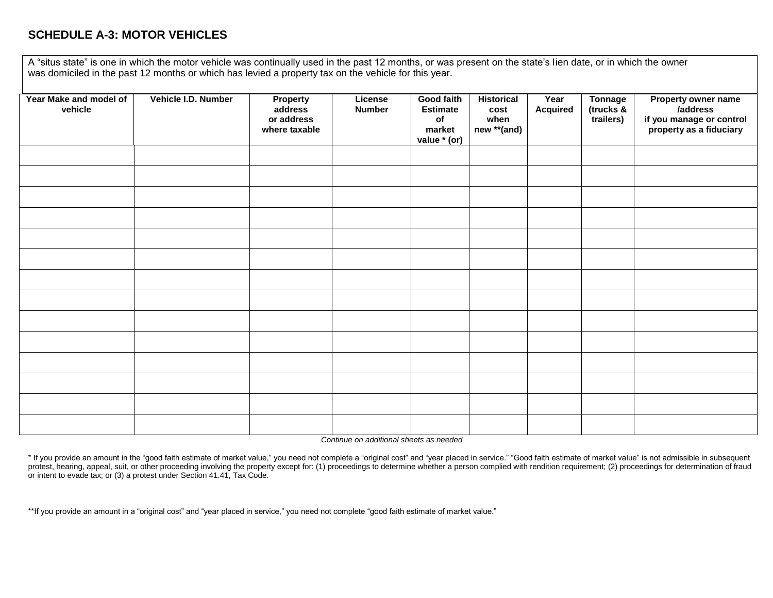## **SCHEDULE A-3: MOTOR VEHICLES**

A "situs state" is one in which the motor vehicle was continually used in the past 12 months, or was present on the state's lien date, or in which the owner was domiciled in the past 12 months or which has levied a property tax on the vehicle for this year.

| Year Make and model of<br>vehicle | Vehicle I.D. Number | <b>Property</b><br>address<br>or address<br>where taxable | License<br><b>Number</b> | <b>Good faith</b><br><b>Estimate</b><br>of<br>market<br>value * (or) | <b>Historical</b><br>cost<br>when<br>new **(and) | Year<br><b>Acquired</b> | <b>Tonnage</b><br>(trucks &<br>trailers) | Property owner name<br>/address<br>if you manage or control<br>property as a fiduciary |
|-----------------------------------|---------------------|-----------------------------------------------------------|--------------------------|----------------------------------------------------------------------|--------------------------------------------------|-------------------------|------------------------------------------|----------------------------------------------------------------------------------------|
|                                   |                     |                                                           |                          |                                                                      |                                                  |                         |                                          |                                                                                        |
|                                   |                     |                                                           |                          |                                                                      |                                                  |                         |                                          |                                                                                        |
|                                   |                     |                                                           |                          |                                                                      |                                                  |                         |                                          |                                                                                        |
|                                   |                     |                                                           |                          |                                                                      |                                                  |                         |                                          |                                                                                        |
|                                   |                     |                                                           |                          |                                                                      |                                                  |                         |                                          |                                                                                        |
|                                   |                     |                                                           |                          |                                                                      |                                                  |                         |                                          |                                                                                        |
|                                   |                     |                                                           |                          |                                                                      |                                                  |                         |                                          |                                                                                        |
|                                   |                     |                                                           |                          |                                                                      |                                                  |                         |                                          |                                                                                        |
|                                   |                     |                                                           |                          |                                                                      |                                                  |                         |                                          |                                                                                        |
|                                   |                     |                                                           |                          |                                                                      |                                                  |                         |                                          |                                                                                        |
|                                   |                     |                                                           |                          |                                                                      |                                                  |                         |                                          |                                                                                        |
|                                   |                     |                                                           |                          |                                                                      |                                                  |                         |                                          |                                                                                        |
|                                   |                     |                                                           |                          |                                                                      |                                                  |                         |                                          |                                                                                        |
|                                   |                     |                                                           |                          |                                                                      |                                                  |                         |                                          |                                                                                        |

*Continue on additional sheets as needed*

\* If you provide an amount in the "good faith estimate of market value," you need not complete a "original cost" and "year placed in service." "Good faith estimate of market value" is not admissible in subsequent protest, hearing, appeal, suit, or other proceeding involving the property except for: (1) proceedings to determine whether a person complied with rendition requirement; (2) proceedings for determination of fraud or intent to evade tax; or (3) a protest under Section 41.41, Tax Code.

\*\*If you provide an amount in a "original cost" and "year placed in service," you need not complete "good faith estimate of market value."